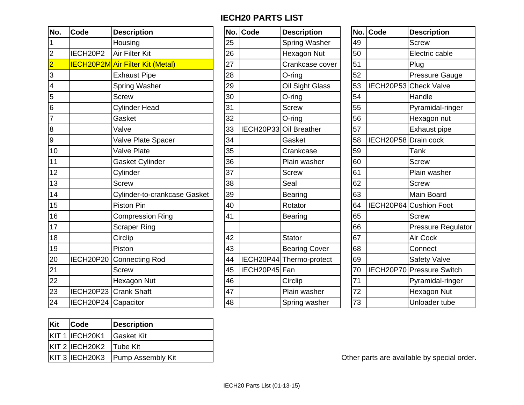## **IECH20 PARTS LIST**

| No.                     | <b>Code</b>           | <b>Description</b>                      | No. | Code          | <b>Description</b>       | No. | Code                 | <b>Description</b>        |
|-------------------------|-----------------------|-----------------------------------------|-----|---------------|--------------------------|-----|----------------------|---------------------------|
| 1                       |                       | Housing                                 | 25  |               | Spring Washer            | 49  |                      | <b>Screw</b>              |
| $\overline{\mathbf{c}}$ | IECH20P2              | Air Filter Kit                          | 26  |               | Hexagon Nut              | 50  |                      | Electric cable            |
| $\overline{2}$          |                       | <b>IECH20P2M</b> Air Filter Kit (Metal) | 27  |               | Crankcase cover          | 51  |                      | Plug                      |
| 3                       |                       | <b>Exhaust Pipe</b>                     | 28  |               | O-ring                   | 52  |                      | <b>Pressure Gauge</b>     |
| $\overline{4}$          |                       | Spring Washer                           | 29  |               | Oil Sight Glass          | 53  |                      | IECH20P53 Check Valve     |
| 5                       |                       | <b>Screw</b>                            | 30  |               | O-ring                   | 54  |                      | Handle                    |
| $6\phantom{1}6$         |                       | <b>Cylinder Head</b>                    | 31  |               | <b>Screw</b>             | 55  |                      | Pyramidal-ringer          |
| $\overline{7}$          |                       | Gasket                                  | 32  |               | O-ring                   | 56  |                      | Hexagon nut               |
| 8                       |                       | Valve                                   | 33  |               | IECH20P33 Oil Breather   | 57  |                      | Exhaust pipe              |
| $\boldsymbol{9}$        |                       | Valve Plate Spacer                      | 34  |               | Gasket                   | 58  | IECH20P58 Drain cock |                           |
| 10                      |                       | <b>Valve Plate</b>                      | 35  |               | Crankcase                | 59  |                      | Tank                      |
| 11                      |                       | Gasket Cylinder                         | 36  |               | Plain washer             | 60  |                      | <b>Screw</b>              |
| 12                      |                       | Cylinder                                | 37  |               | <b>Screw</b>             | 61  |                      | Plain washer              |
| 13                      |                       | <b>Screw</b>                            | 38  |               | Seal                     | 62  |                      | <b>Screw</b>              |
| 14                      |                       | Cylinder-to-crankcase Gasket            | 39  |               | <b>Bearing</b>           | 63  |                      | Main Board                |
| 15                      |                       | Piston Pin                              | 40  |               | Rotator                  | 64  |                      | IECH20P64 Cushion Foot    |
| 16                      |                       | <b>Compression Ring</b>                 | 41  |               | <b>Bearing</b>           | 65  |                      | <b>Screw</b>              |
| 17                      |                       | <b>Scraper Ring</b>                     |     |               |                          | 66  |                      | <b>Pressure Regulator</b> |
| 18                      |                       | Circlip                                 | 42  |               | <b>Stator</b>            | 67  |                      | Air Cock                  |
| 19                      |                       | Piston                                  | 43  |               | <b>Bearing Cover</b>     | 68  |                      | Connect                   |
| 20                      | IECH20P20             | Connecting Rod                          | 44  |               | IECH20P44 Thermo-protect | 69  |                      | Safety Valve              |
| 21                      |                       | <b>Screw</b>                            | 45  | IECH20P45 Fan |                          | 70  |                      | IECH20P70 Pressure Switch |
| 22                      |                       | Hexagon Nut                             | 46  |               | Circlip                  | 71  |                      | Pyramidal-ringer          |
| 23                      | IECH20P23 Crank Shaft |                                         | 47  |               | Plain washer             | 72  |                      | Hexagon Nut               |
| 24                      | IECH20P24 Capacitor   |                                         | 48  |               | Spring washer            | 73  |                      | Unloader tube             |
|                         |                       |                                         |     |               |                          |     |                      |                           |

|    | No. Code         | <b>Description</b>       |
|----|------------------|--------------------------|
| 25 |                  | <b>Spring Washer</b>     |
| 26 |                  | <b>Hexagon Nut</b>       |
| 27 |                  | Crankcase cover          |
| 28 |                  | O-ring                   |
| 29 |                  | Oil Sight Glass          |
| 30 |                  | O-ring                   |
| 31 |                  | <b>Screw</b>             |
| 32 |                  | O-ring                   |
| 33 |                  | IECH20P33 Oil Breather   |
| 34 |                  | Gasket                   |
| 35 |                  | Crankcase                |
| 36 |                  | Plain washer             |
| 37 |                  | <b>Screw</b>             |
| 38 |                  | Seal                     |
| 39 |                  | <b>Bearing</b>           |
| 40 |                  | Rotator                  |
| 41 |                  | <b>Bearing</b>           |
|    |                  |                          |
| 42 |                  | <b>Stator</b>            |
| 43 |                  | <b>Bearing Cover</b>     |
| 44 |                  | IECH20P44 Thermo-protect |
| 45 | <b>IECH20P45</b> | Fan                      |
| 46 |                  | Circlip                  |
| 47 |                  | Plain washer             |
| 48 |                  | Spring washer            |

|    | No. Code             | <b>Description</b>     |
|----|----------------------|------------------------|
| 49 |                      | <b>Screw</b>           |
| 50 |                      | Electric cable         |
| 51 |                      | Plug                   |
| 52 |                      | <b>Pressure Gauge</b>  |
| 53 |                      | IECH20P53 Check Valve  |
| 54 |                      | Handle                 |
| 55 |                      | Pyramidal-ringer       |
| 56 |                      | Hexagon nut            |
| 57 |                      | Exhaust pipe           |
| 58 | IECH20P58 Drain cock |                        |
| 59 |                      | Tank                   |
| 60 |                      | <b>Screw</b>           |
| 61 |                      | Plain washer           |
| 62 |                      | <b>Screw</b>           |
| 63 |                      | <b>Main Board</b>      |
| 64 |                      | IECH20P64 Cushion Foot |
| 65 |                      | <b>Screw</b>           |
| 66 |                      | Pressure Regulator     |
| 67 |                      | Air Cock               |
| 68 |                      | Connect                |
| 69 |                      | <b>Safety Valve</b>    |
| 70 | <b>IECH20P70</b>     | <b>Pressure Switch</b> |
| 71 |                      | Pyramidal-ringer       |
| 72 |                      | Hexagon Nut            |
| 73 |                      | Unloader tube          |

| Kit | <b>Code</b>             | Description                      |
|-----|-------------------------|----------------------------------|
|     | KIT 1 IECH20K1          | Gasket Kit                       |
|     | KIT 2 IECH20K2 Tube Kit |                                  |
|     |                         | KIT 3 IECH20K3 Pump Assembly Kit |

Other parts are available by special order.